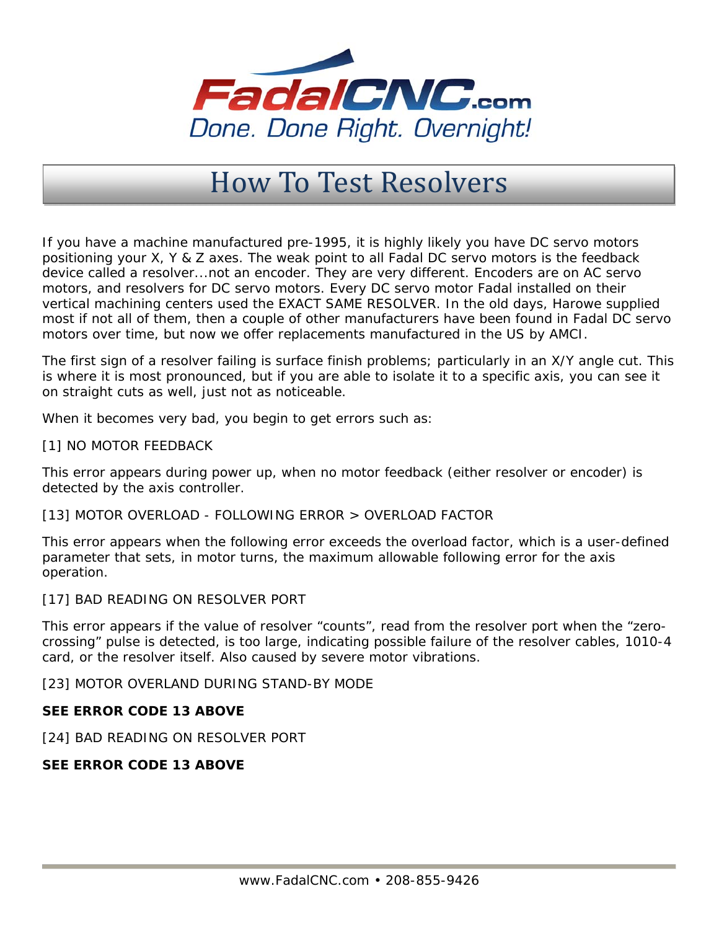

## How To Test Resolvers

If you have a machine manufactured pre-1995, it is highly likely you have DC servo motors positioning your X, Y & Z axes. The weak point to all Fadal DC servo motors is the feedback device called a resolver...not an encoder. They are very different. Encoders are on AC servo motors, and resolvers for DC servo motors. Every DC servo motor Fadal installed on their vertical machining centers used the EXACT SAME RESOLVER. In the old days, Harowe supplied most if not all of them, then a couple of other manufacturers have been found in Fadal DC servo motors over time, but now we offer replacements manufactured in the US by AMCI.

The first sign of a resolver failing is surface finish problems; particularly in an X/Y angle cut. This is where it is most pronounced, but if you are able to isolate it to a specific axis, you can see it on straight cuts as well, just not as noticeable.

When it becomes very bad, you begin to get errors such as:

[1] NO MOTOR FEEDBACK

This error appears during power up, when no motor feedback (either resolver or encoder) is detected by the axis controller.

[13] MOTOR OVERLOAD - FOLLOWING ERROR > OVERLOAD FACTOR

This error appears when the following error exceeds the overload factor, which is a user-defined parameter that sets, in motor turns, the maximum allowable following error for the axis operation.

[17] BAD READING ON RESOLVER PORT

This error appears if the value of resolver "counts", read from the resolver port when the "zerocrossing" pulse is detected, is too large, indicating possible failure of the resolver cables, 1010-4 card, or the resolver itself. Also caused by severe motor vibrations.

[23] MOTOR OVERLAND DURING STAND-BY MODE

## **SEE ERROR CODE 13 ABOVE**

[24] BAD READING ON RESOLVER PORT

## **SEE ERROR CODE 13 ABOVE**